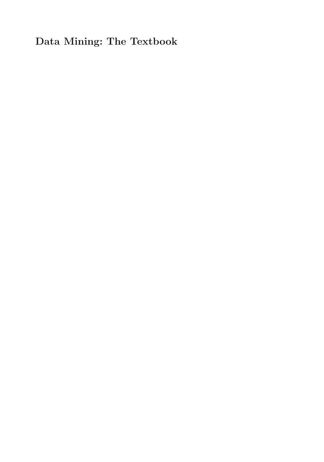**Data Mining: The Textbook**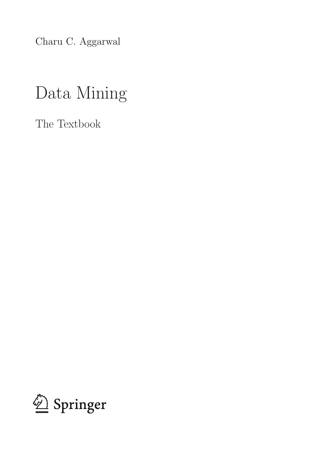Charu C. Aggarwal

# Data Mining

The Textbook

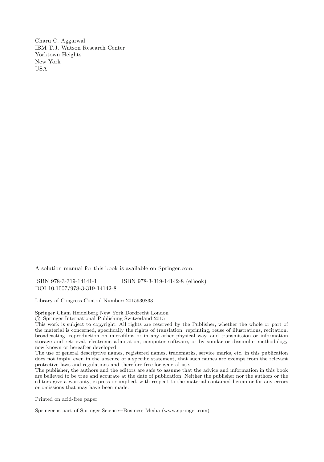Charu C. Aggarwal IBM T.J. Watson Research Center Yorktown Heights New York USA

A solution manual for this book is available on Springer.com.

ISBN 978-3-319-14141-1 ISBN 978-3-319-14142-8 (eBook) DOI 10.1007/978-3-319-14142-8

Library of Congress Control Number: 2015930833

Springer Cham Heidelberg New York Dordrecht London

-c Springer International Publishing Switzerland 2015

This work is subject to copyright. All rights are reserved by the Publisher, whether the whole or part of the material is concerned, specifically the rights of translation, reprinting, reuse of illustrations, recitation, broadcasting, reproduction on microfilms or in any other physical way, and transmission or information storage and retrieval, electronic adaptation, computer software, or by similar or dissimilar methodology now known or hereafter developed.

The use of general descriptive names, registered names, trademarks, service marks, etc. in this publication does not imply, even in the absence of a specific statement, that such names are exempt from the relevant protective laws and regulations and therefore free for general use.

The publisher, the authors and the editors are safe to assume that the advice and information in this book are believed to be true and accurate at the date of publication. Neither the publisher nor the authors or the editors give a warranty, express or implied, with respect to the material contained herein or for any errors or omissions that may have been made.

Printed on acid-free paper

Springer is part of Springer Science+Business Media (www.springer.com)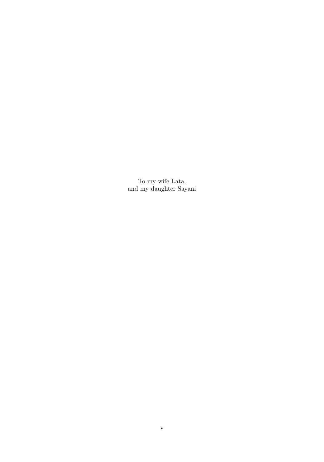To my wife Lata, and my daughter Sayani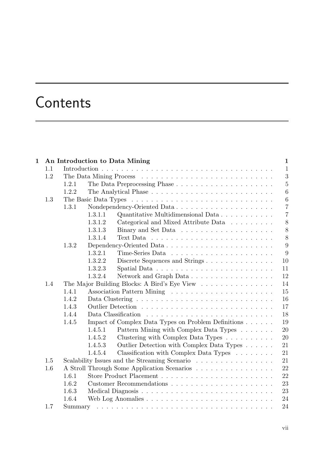## Contents

| $\mathbf{1}$ |     |         |         | An Introduction to Data Mining<br>$\mathbf{1}$            |
|--------------|-----|---------|---------|-----------------------------------------------------------|
|              | 1.1 |         |         | $\mathbf{1}$                                              |
|              | 1.2 |         |         | 3                                                         |
|              |     | 1.2.1   |         | $\overline{5}$                                            |
|              |     | 1.2.2   |         | $\boldsymbol{6}$                                          |
|              | 1.3 |         |         | $\overline{6}$                                            |
|              |     | 1.3.1   |         | $\overline{7}$                                            |
|              |     |         | 1.3.1.1 | $\overline{7}$<br>Quantitative Multidimensional Data      |
|              |     |         | 1.3.1.2 | 8<br>Categorical and Mixed Attribute Data                 |
|              |     |         | 1.3.1.3 | 8                                                         |
|              |     |         | 1.3.1.4 | 8                                                         |
|              |     | 1.3.2   |         | 9                                                         |
|              |     |         | 1.3.2.1 | 9                                                         |
|              |     |         | 1.3.2.2 | 10                                                        |
|              |     |         | 1.3.2.3 | 11                                                        |
|              |     |         | 1.3.2.4 | 12                                                        |
|              | 1.4 |         |         | 14<br>The Major Building Blocks: A Bird's Eye View        |
|              |     | 1.4.1   |         | 15                                                        |
|              |     | 1.4.2   |         | 16                                                        |
|              |     | 1.4.3   |         | 17                                                        |
|              |     | 1.4.4   |         | 18                                                        |
|              |     | 1.4.5   |         | 19<br>Impact of Complex Data Types on Problem Definitions |
|              |     |         | 1.4.5.1 | 20<br>Pattern Mining with Complex Data Types              |
|              |     |         | 1.4.5.2 | 20<br>Clustering with Complex Data Types                  |
|              |     |         | 1.4.5.3 | 21<br>Outlier Detection with Complex Data Types           |
|              |     |         | 1.4.5.4 | 21<br>Classification with Complex Data Types              |
|              | 1.5 |         |         | 21<br>Scalability Issues and the Streaming Scenario       |
|              | 1.6 |         |         | 22<br>A Stroll Through Some Application Scenarios         |
|              |     | 1.6.1   |         | 22                                                        |
|              |     | 1.6.2   |         | 23                                                        |
|              |     | 1.6.3   |         | 23                                                        |
|              |     | 1.6.4   |         | 24                                                        |
|              | 1.7 | Summary |         | 24                                                        |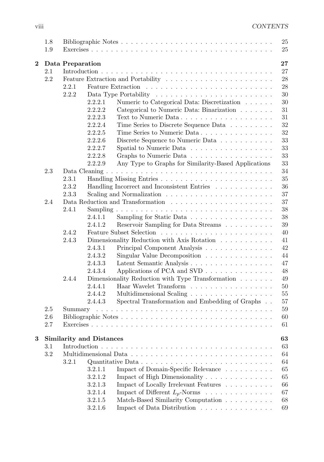|                | 1.8<br>1.9 |                  |                                 | 25<br>25                                                                                                              |
|----------------|------------|------------------|---------------------------------|-----------------------------------------------------------------------------------------------------------------------|
|                |            |                  |                                 |                                                                                                                       |
| $\overline{2}$ |            | Data Preparation |                                 | 27                                                                                                                    |
|                | 2.1        |                  |                                 | 27                                                                                                                    |
|                | 2.2        |                  |                                 | 28                                                                                                                    |
|                |            | 2.2.1            |                                 | 28                                                                                                                    |
|                |            | 2.2.2            |                                 | 30                                                                                                                    |
|                |            |                  | 2.2.2.1                         | 30<br>Numeric to Categorical Data: Discretization                                                                     |
|                |            |                  | 2.2.2.2                         | 31<br>Categorical to Numeric Data: Binarization                                                                       |
|                |            |                  | 2.2.2.3                         | 31                                                                                                                    |
|                |            |                  | 2.2.2.4                         | 32<br>Time Series to Discrete Sequence Data                                                                           |
|                |            |                  | 2.2.2.5                         | 32<br>Time Series to Numeric Data                                                                                     |
|                |            |                  | 2.2.2.6                         | 33<br>Discrete Sequence to Numeric Data                                                                               |
|                |            |                  | 2.2.2.7                         | 33<br>Spatial to Numeric Data                                                                                         |
|                |            |                  | 2.2.2.8                         | 33<br>Graphs to Numeric Data                                                                                          |
|                |            |                  | 2.2.2.9                         | 33<br>Any Type to Graphs for Similarity-Based Applications                                                            |
|                | 2.3        |                  |                                 | 34                                                                                                                    |
|                |            | 2.3.1            |                                 | 35                                                                                                                    |
|                |            | 2.3.2            |                                 | 36<br>Handling Incorrect and Inconsistent Entries                                                                     |
|                |            | 2.3.3            |                                 | 37                                                                                                                    |
|                | 2.4        |                  |                                 | 37<br>Data Reduction and Transformation<br>$\hfill\ldots\ldots\ldots\ldots\ldots\ldots\ldots\ldots\ldots\ldots\ldots$ |
|                |            | 2.4.1            |                                 | 38                                                                                                                    |
|                |            |                  | 2.4.1.1                         | 38<br>Sampling for Static Data                                                                                        |
|                |            |                  | 2.4.1.2                         | 39<br>Reservoir Sampling for Data Streams                                                                             |
|                |            | 2.4.2            |                                 | 40                                                                                                                    |
|                |            | 2.4.3            |                                 | Dimensionality Reduction with Axis Rotation<br>41                                                                     |
|                |            |                  | 2.4.3.1                         | 42<br>Principal Component Analysis                                                                                    |
|                |            |                  | 2.4.3.2                         | 44<br>Singular Value Decomposition $\ldots \ldots \ldots \ldots$                                                      |
|                |            |                  | 2.4.3.3                         | 47<br>Latent Semantic Analysis                                                                                        |
|                |            |                  | 2.4.3.4                         | 48<br>Applications of PCA and SVD $.\,.\,.\,.\,.\,.\,.\,.\,.\,.\,.\,.\,.\,.\,.\,.\,$                                  |
|                |            | 2.4.4            |                                 | 49<br>Dimensionality Reduction with Type Transformation $\ldots \ldots$                                               |
|                |            |                  | 2.4.4.1                         | 50<br>Haar Wavelet Transform                                                                                          |
|                |            |                  | 2.4.4.2                         | 55<br>Multidimensional Scaling $\dots \dots \dots \dots \dots \dots$                                                  |
|                |            |                  | 2.4.4.3                         | Spectral Transformation and Embedding of Graphs                                                                       |
|                |            |                  |                                 | 57                                                                                                                    |
|                | 2.5        |                  |                                 | 59                                                                                                                    |
|                | 2.6        |                  |                                 | 60                                                                                                                    |
|                | 2.7        |                  |                                 | 61                                                                                                                    |
| 3              |            |                  | <b>Similarity and Distances</b> | 63                                                                                                                    |
|                | 3.1        |                  |                                 | 63                                                                                                                    |
|                | $\!3.2\!$  |                  |                                 | 64                                                                                                                    |
|                |            | 3.2.1            |                                 | 64                                                                                                                    |
|                |            |                  | 3.2.1.1                         | Impact of Domain-Specific Relevance<br>65                                                                             |
|                |            |                  | 3.2.1.2                         | Impact of High Dimensionality<br>65                                                                                   |
|                |            |                  | 3.2.1.3                         | Impact of Locally Irrelevant Features<br>66                                                                           |
|                |            |                  | 3.2.1.4                         | Impact of Different $L_p$ -Norms<br>67                                                                                |
|                |            |                  | 3.2.1.5                         | Match-Based Similarity Computation<br>68                                                                              |
|                |            |                  | 3.2.1.6                         | Impact of Data Distribution<br>69                                                                                     |
|                |            |                  |                                 |                                                                                                                       |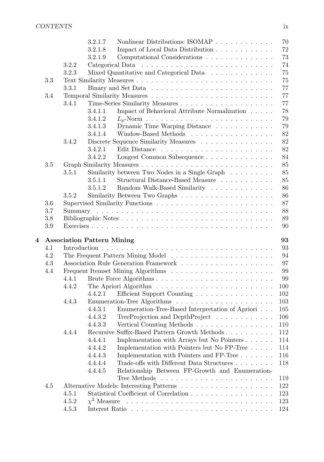|   |         |       | 3.2.1.7                           | Nonlinear Distributions: ISOMAP                                                   | 70  |
|---|---------|-------|-----------------------------------|-----------------------------------------------------------------------------------|-----|
|   |         |       | 3.2.1.8                           | Impact of Local Data Distribution                                                 | 72  |
|   |         |       | 3.2.1.9                           | Computational Considerations                                                      | 73  |
|   |         | 3.2.2 |                                   |                                                                                   | 74  |
|   |         | 3.2.3 |                                   | Mixed Quantitative and Categorical Data                                           | 75  |
|   | 3.3     |       |                                   |                                                                                   | 75  |
|   |         | 3.3.1 |                                   |                                                                                   | 77  |
|   | 3.4     |       |                                   |                                                                                   | 77  |
|   |         | 3.4.1 |                                   |                                                                                   | 77  |
|   |         |       | 3.4.1.1                           | Impact of Behavioral Attribute Normalization                                      | 78  |
|   |         |       | 3.4.1.2                           |                                                                                   | 79  |
|   |         |       | 3.4.1.3                           | Dynamic Time Warping Distance                                                     | 79  |
|   |         |       | 3.4.1.4                           | Window-Based Methods                                                              | 82  |
|   |         | 3.4.2 |                                   | Discrete Sequence Similarity Measures                                             | 82  |
|   |         |       | 3.4.2.1                           |                                                                                   | 82  |
|   |         |       | 3.4.2.2                           | Longest Common Subsequence                                                        | 84  |
|   | $3.5\,$ |       |                                   |                                                                                   | 85  |
|   |         | 3.5.1 |                                   | Similarity between Two Nodes in a Single Graph $\ldots \ldots \ldots$             | 85  |
|   |         |       | 3.5.1.1                           | Structural Distance-Based Measure                                                 | 85  |
|   |         |       | 3.5.1.2                           | Random Walk-Based Similarity                                                      | 86  |
|   |         | 3.5.2 |                                   |                                                                                   | 86  |
|   | 3.6     |       |                                   |                                                                                   | 87  |
|   | 3.7     |       |                                   |                                                                                   | 88  |
|   | $3.8\,$ |       |                                   |                                                                                   | 89  |
|   | $3.9\,$ |       |                                   |                                                                                   | 90  |
|   |         |       |                                   |                                                                                   |     |
| 4 |         |       | <b>Association Pattern Mining</b> |                                                                                   | 93  |
|   | 4.1     |       |                                   |                                                                                   | 93  |
|   | 4.2     |       |                                   |                                                                                   | 94  |
|   | 4.3     |       |                                   | Association Rule Generation Framework $\dots \dots \dots \dots \dots \dots \dots$ | 97  |
|   | 4.4     |       |                                   |                                                                                   | 99  |
|   |         | 4.4.1 |                                   |                                                                                   | 99  |
|   |         | 4.4.2 |                                   |                                                                                   | 100 |
|   |         |       | 4.4.2.1                           | Efficient Support Counting                                                        | 102 |
|   |         | 4.4.3 |                                   |                                                                                   | 103 |
|   |         |       | 4.4.3.1                           | Enumeration-Tree-Based Interpretation of Apriori                                  | 105 |
|   |         |       | 4.4.3.2                           | TreeProjection and DepthProject                                                   | 106 |
|   |         |       | 4.4.3.3                           | Vertical Counting Methods                                                         | 110 |
|   |         | 4.4.4 |                                   | Recursive Suffix-Based Pattern Growth Methods                                     | 112 |
|   |         |       | 4.4.4.1                           | Implementation with Arrays but No Pointers                                        | 114 |
|   |         |       | 4.4.4.2                           | Implementation with Pointers but No FP-Tree                                       | 114 |
|   |         |       | 4.4.4.3                           | Implementation with Pointers and FP-Tree                                          | 116 |
|   |         |       | 4.4.4.4                           | Trade-offs with Different Data Structures                                         | 118 |
|   |         |       | 4.4.4.5                           | Relationship Between FP-Growth and Enumeration-                                   |     |
|   |         |       |                                   |                                                                                   | 119 |
|   | 4.5     |       |                                   |                                                                                   | 122 |
|   |         | 4.5.1 |                                   | Statistical Coefficient of Correlation                                            | 123 |
|   |         | 4.5.2 |                                   |                                                                                   | 123 |
|   |         | 4.5.3 |                                   |                                                                                   | 124 |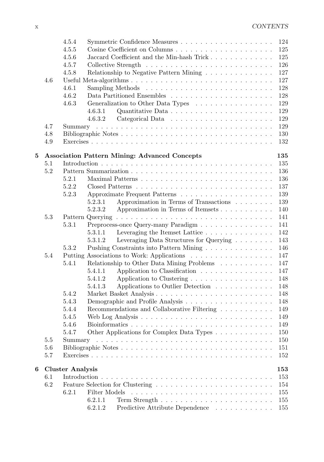|   |     | 4.5.4                   |               |                                                      | 124 |
|---|-----|-------------------------|---------------|------------------------------------------------------|-----|
|   |     | 4.5.5                   |               |                                                      | 125 |
|   |     | 4.5.6                   |               | Jaccard Coefficient and the Min-hash Trick           | 125 |
|   |     | 4.5.7                   |               |                                                      | 126 |
|   |     | 4.5.8                   |               | Relationship to Negative Pattern Mining              | 127 |
|   | 4.6 |                         |               |                                                      | 127 |
|   |     | 4.6.1                   |               |                                                      | 128 |
|   |     | 4.6.2                   |               |                                                      | 128 |
|   |     | 4.6.3                   |               | Generalization to Other Data Types                   | 129 |
|   |     |                         | 4.6.3.1       |                                                      | 129 |
|   |     |                         |               |                                                      | 129 |
|   | 4.7 | Summary                 |               |                                                      | 129 |
|   | 4.8 |                         |               |                                                      | 130 |
|   | 4.9 |                         |               |                                                      | 132 |
|   |     |                         |               |                                                      |     |
| 5 |     |                         |               | <b>Association Pattern Mining: Advanced Concepts</b> | 135 |
|   | 5.1 |                         |               |                                                      | 135 |
|   | 5.2 |                         |               |                                                      | 136 |
|   |     | 5.2.1                   |               |                                                      | 136 |
|   |     | 5.2.2                   |               |                                                      | 137 |
|   |     | 5.2.3                   |               |                                                      | 139 |
|   |     |                         | 5.2.3.1       | Approximation in Terms of Transactions               | 139 |
|   |     |                         | 5.2.3.2       | Approximation in Terms of Itemsets                   | 140 |
|   | 5.3 |                         |               |                                                      | 141 |
|   |     | 5.3.1                   |               | Preprocess-once Query-many Paradigm                  | 141 |
|   |     |                         | 5.3.1.1       | Leveraging the Itemset Lattice                       | 142 |
|   |     |                         | 5.3.1.2       | Leveraging Data Structures for Querying              | 143 |
|   |     | 5.3.2                   |               | Pushing Constraints into Pattern Mining              | 146 |
|   | 5.4 |                         |               | Putting Associations to Work: Applications           | 147 |
|   |     | 5.4.1                   |               | Relationship to Other Data Mining Problems           | 147 |
|   |     |                         | 5.4.1.1       | Application to Classification                        | 147 |
|   |     |                         | 5.4.1.2       | Application to Clustering                            | 148 |
|   |     |                         | 5.4.1.3       | Applications to Outlier Detection                    | 148 |
|   |     | 5.4.2                   |               |                                                      | 148 |
|   |     | 5.4.3                   |               |                                                      | 148 |
|   |     | 5.4.4                   |               | Recommendations and Collaborative Filtering          | 149 |
|   |     | 5.4.5                   |               |                                                      | 149 |
|   |     | 5.4.6                   |               |                                                      | 149 |
|   |     | 5.4.7                   |               | Other Applications for Complex Data Types            | 150 |
|   | 5.5 | Summary                 |               |                                                      | 150 |
|   | 5.6 |                         |               |                                                      | 151 |
|   | 5.7 |                         |               |                                                      | 152 |
|   |     |                         |               |                                                      |     |
| 6 |     | <b>Cluster Analysis</b> |               |                                                      | 153 |
|   | 6.1 |                         |               |                                                      | 153 |
|   | 6.2 |                         |               |                                                      | 154 |
|   |     | 6.2.1                   | Filter Models |                                                      | 155 |
|   |     |                         | 6.2.1.1       | $Term \; Strength \;$                                | 155 |
|   |     |                         | 6.2.1.2       | Predictive Attribute Dependence                      | 155 |
|   |     |                         |               |                                                      |     |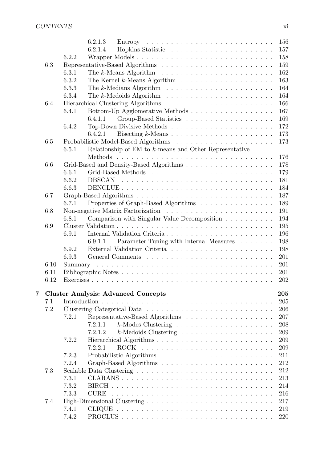|   |      |       | 6.2.1.3       |                                                                               | 156 |
|---|------|-------|---------------|-------------------------------------------------------------------------------|-----|
|   |      |       | 6.2.1.4       |                                                                               | 157 |
|   |      | 6.2.2 |               | Wrapper Models                                                                | 158 |
|   | 6.3  |       |               |                                                                               | 159 |
|   |      | 6.3.1 |               | The $k$ -Means Algorithm $\ldots \ldots \ldots \ldots \ldots \ldots \ldots$   | 162 |
|   |      | 6.3.2 |               | The Kernel $k$ -Means Algorithm $\ldots \ldots \ldots \ldots \ldots \ldots$   | 163 |
|   |      | 6.3.3 |               | The $k$ -Medians Algorithm $\ldots \ldots \ldots \ldots \ldots \ldots \ldots$ | 164 |
|   |      | 6.3.4 |               | The $k$ -Medoids Algorithm $\ldots \ldots \ldots \ldots \ldots \ldots \ldots$ | 164 |
|   | 6.4  |       |               |                                                                               | 166 |
|   |      | 6.4.1 |               | Bottom-Up Agglomerative Methods                                               | 167 |
|   |      |       | 6.4.1.1       |                                                                               | 169 |
|   |      | 6.4.2 |               |                                                                               | 172 |
|   |      |       |               |                                                                               |     |
|   |      |       | 6.4.2.1       |                                                                               | 173 |
|   | 6.5  |       |               |                                                                               | 173 |
|   |      | 6.5.1 |               | Relationship of $EM$ to $k$ -means and Other Representative                   |     |
|   |      |       |               |                                                                               | 176 |
|   | 6.6  |       |               |                                                                               | 178 |
|   |      | 6.6.1 |               |                                                                               | 179 |
|   |      | 6.6.2 |               |                                                                               | 181 |
|   |      | 6.6.3 |               |                                                                               | 184 |
|   | 6.7  |       |               |                                                                               | 187 |
|   |      | 6.7.1 |               | Properties of Graph-Based Algorithms                                          | 189 |
|   | 6.8  |       |               |                                                                               | 191 |
|   |      | 6.8.1 |               | Comparison with Singular Value Decomposition                                  | 194 |
|   | 6.9  |       |               |                                                                               | 195 |
|   |      | 6.9.1 |               |                                                                               | 196 |
|   |      |       | 6.9.1.1       | Parameter Tuning with Internal Measures                                       | 198 |
|   |      | 6.9.2 |               |                                                                               | 198 |
|   |      | 6.9.3 |               |                                                                               | 201 |
|   | 6.10 |       |               |                                                                               | 201 |
|   | 6.11 |       |               |                                                                               | 201 |
|   | 6.12 |       |               |                                                                               | 202 |
|   |      |       |               |                                                                               |     |
| 7 |      |       |               | <b>Cluster Analysis: Advanced Concepts</b>                                    | 205 |
|   | 7.1  |       |               |                                                                               | 205 |
|   | 7.2  |       |               |                                                                               | 206 |
|   |      | 7.2.1 |               |                                                                               | 207 |
|   |      |       |               |                                                                               | 208 |
|   |      |       | 7.2.1.2       |                                                                               | 209 |
|   |      | 7.2.2 |               |                                                                               | 209 |
|   |      |       | 7.2.2.1       |                                                                               | 209 |
|   |      | 7.2.3 |               |                                                                               | 211 |
|   |      | 7.2.4 |               |                                                                               | 212 |
|   | 7.3  |       |               |                                                                               | 212 |
|   |      | 7.3.1 |               |                                                                               | 213 |
|   |      | 7.3.2 |               |                                                                               | 214 |
|   |      | 7.3.3 | <b>CURE</b>   |                                                                               | 216 |
|   | 7.4  |       |               |                                                                               | 217 |
|   |      | 7.4.1 | <b>CLIQUE</b> |                                                                               | 219 |
|   |      | 7.4.2 |               | PROCLUS                                                                       | 220 |
|   |      |       |               |                                                                               |     |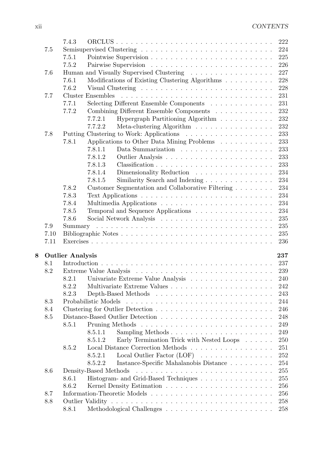|   |      | 7.4.3                   |                                                                        |  |  | 222 |
|---|------|-------------------------|------------------------------------------------------------------------|--|--|-----|
|   | 7.5  |                         |                                                                        |  |  | 224 |
|   |      | 7.5.1                   |                                                                        |  |  | 225 |
|   |      | 7.5.2                   |                                                                        |  |  | 226 |
|   | 7.6  |                         | Human and Visually Supervised Clustering                               |  |  | 227 |
|   |      | 7.6.1                   | Modifications of Existing Clustering Algorithms $\ldots \ldots \ldots$ |  |  | 228 |
|   |      | 7.6.2                   |                                                                        |  |  | 228 |
|   | 7.7  |                         | <b>Cluster Ensembles</b>                                               |  |  | 231 |
|   |      | 7.7.1                   | Selecting Different Ensemble Components                                |  |  | 231 |
|   |      | 7.7.2                   | Combining Different Ensemble Components                                |  |  | 232 |
|   |      |                         | Hypergraph Partitioning Algorithm<br>7.7.2.1                           |  |  | 232 |
|   |      |                         | Meta-clustering Algorithm<br>7.7.2.2                                   |  |  | 232 |
|   | 7.8  |                         |                                                                        |  |  | 233 |
|   |      | 7.8.1                   | Applications to Other Data Mining Problems                             |  |  | 233 |
|   |      |                         | 7.8.1.1                                                                |  |  | 233 |
|   |      |                         | 7.8.1.2                                                                |  |  | 233 |
|   |      |                         | 7.8.1.3                                                                |  |  | 233 |
|   |      |                         | 7.8.1.4<br>Dimensionality Reduction                                    |  |  | 234 |
|   |      |                         | 7.8.1.5<br>Similarity Search and Indexing                              |  |  | 234 |
|   |      | 7.8.2                   | Customer Segmentation and Collaborative Filtering                      |  |  | 234 |
|   |      | 7.8.3                   |                                                                        |  |  | 234 |
|   |      | 7.8.4                   |                                                                        |  |  | 234 |
|   |      | 7.8.5                   | Temporal and Sequence Applications                                     |  |  | 234 |
|   |      | 7.8.6                   |                                                                        |  |  | 235 |
|   | 7.9  |                         |                                                                        |  |  | 235 |
|   | 7.10 |                         |                                                                        |  |  | 235 |
|   | 7.11 |                         |                                                                        |  |  | 236 |
|   |      |                         |                                                                        |  |  |     |
| 8 |      | <b>Outlier Analysis</b> |                                                                        |  |  | 237 |
|   | 8.1  |                         |                                                                        |  |  | 237 |
|   | 8.2  |                         |                                                                        |  |  | 239 |
|   |      | 8.2.1                   | Univariate Extreme Value Analysis                                      |  |  | 240 |
|   |      | 8.2.2                   |                                                                        |  |  | 242 |
|   |      | 8.2.3                   |                                                                        |  |  | 243 |
|   | 8.3  |                         |                                                                        |  |  | 244 |
|   | 8.4  |                         |                                                                        |  |  | 246 |
|   | 8.5  |                         |                                                                        |  |  | 248 |
|   |      | 8.5.1                   |                                                                        |  |  | 249 |
|   |      |                         | Sampling Methods<br>8.5.1.1                                            |  |  | 249 |
|   |      |                         | 8.5.1.2<br>Early Termination Trick with Nested Loops                   |  |  | 250 |
|   |      | 8.5.2                   | Local Distance Correction Methods                                      |  |  | 251 |
|   |      |                         | Local Outlier Factor $(LOF) \dots \dots \dots \dots \dots$<br>8.5.2.1  |  |  | 252 |
|   |      |                         | 8.5.2.2<br>Instance-Specific Mahalanobis Distance                      |  |  | 254 |
|   | 8.6  |                         | Density-Based Methods                                                  |  |  | 255 |
|   |      | 8.6.1                   | Histogram- and Grid-Based Techniques                                   |  |  | 255 |
|   |      |                         |                                                                        |  |  |     |
|   |      | 8.6.2                   |                                                                        |  |  | 256 |
|   | 8.7  |                         |                                                                        |  |  | 256 |
|   | 8.8  |                         |                                                                        |  |  | 258 |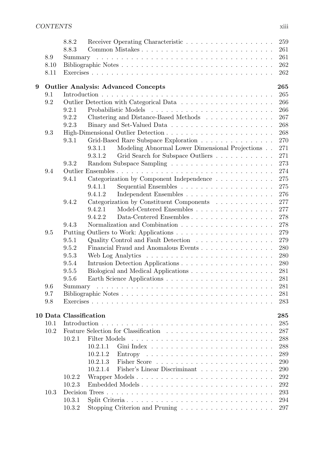|   |      | 8.8.2                  | 259                                                               |
|---|------|------------------------|-------------------------------------------------------------------|
|   |      | 8.8.3                  | 261                                                               |
|   | 8.9  |                        | 261                                                               |
|   | 8.10 |                        | 262                                                               |
|   | 8.11 |                        | 262                                                               |
| 9 |      |                        | <b>Outlier Analysis: Advanced Concepts</b><br>265                 |
|   | 9.1  |                        | 265                                                               |
|   | 9.2  |                        | 266                                                               |
|   |      | 9.2.1                  | 266                                                               |
|   |      | 9.2.2                  | Clustering and Distance-Based Methods<br>267                      |
|   |      | 9.2.3                  | 268                                                               |
|   | 9.3  |                        | 268                                                               |
|   |      | 9.3.1                  | Grid-Based Rare Subspace Exploration<br>270                       |
|   |      |                        | Modeling Abnormal Lower Dimensional Projections<br>271<br>9.3.1.1 |
|   |      |                        | 9.3.1.2<br>Grid Search for Subspace Outliers<br>271               |
|   |      | 9.3.2                  | 273                                                               |
|   | 9.4  |                        | 274                                                               |
|   |      | 9.4.1                  | Categorization by Component Independence<br>$275\,$               |
|   |      |                        | 9.4.1.1<br>$275\,$                                                |
|   |      |                        | 9.4.1.2<br>276                                                    |
|   |      | 9.4.2                  | 277<br>Categorization by Constituent Components                   |
|   |      |                        | 9.4.2.1<br>Model-Centered Ensembles<br>277                        |
|   |      |                        | 9.4.2.2<br>Data-Centered Ensembles<br>278                         |
|   |      | 9.4.3                  | 278                                                               |
|   | 9.5  |                        | 279                                                               |
|   |      | 9.5.1                  | Quality Control and Fault Detection<br>279                        |
|   |      | 9.5.2                  | Financial Fraud and Anomalous Events<br>280                       |
|   |      | 9.5.3                  | 280                                                               |
|   |      | 9.5.4                  | 280                                                               |
|   |      | 9.5.5                  | Biological and Medical Applications<br>281                        |
|   |      | 9.5.6                  | 281                                                               |
|   | 9.6  | Summary                | 281                                                               |
|   | 9.7  |                        | Bibliographic Notes<br>281                                        |
|   | 9.8  |                        | 283                                                               |
|   |      | 10 Data Classification | $\bf 285$                                                         |
|   | 10.1 |                        | 285                                                               |
|   | 10.2 |                        | 287                                                               |
|   |      | 10.2.1                 | Filter Models<br>288                                              |
|   |      |                        | 10.2.1.1<br>288                                                   |
|   |      |                        | 10.2.1.2<br>289                                                   |
|   |      |                        | 10.2.1.3<br>290                                                   |
|   |      |                        | 10.2.1.4<br>Fisher's Linear Discriminant<br>290                   |
|   |      | 10.2.2                 | Wrapper Models<br>292                                             |
|   |      | 10.2.3                 | Embedded Models<br>292                                            |
|   | 10.3 |                        | 293                                                               |
|   |      | 10.3.1                 | 294<br>Split Criteria                                             |
|   |      | 10.3.2                 | 297                                                               |
|   |      |                        |                                                                   |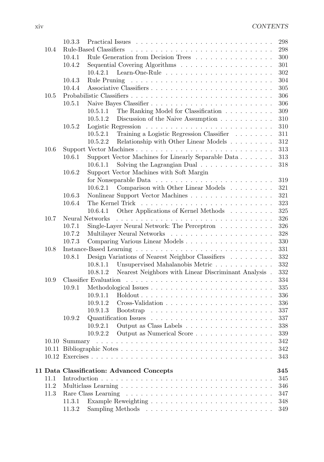|          | 10.3.3 | 298                                                                                  |
|----------|--------|--------------------------------------------------------------------------------------|
| 10.4     |        | 298                                                                                  |
|          | 10.4.1 | Rule Generation from Decision Trees<br>300                                           |
|          | 10.4.2 | 301                                                                                  |
|          |        | 302<br>10.4.2.1                                                                      |
|          | 10.4.3 | 304                                                                                  |
|          | 10.4.4 | 305                                                                                  |
| 10.5     |        | 306                                                                                  |
|          | 10.5.1 | 306                                                                                  |
|          |        | 309<br>The Ranking Model for Classification<br>10.5.1.1                              |
|          |        | 10.5.1.2<br>Discussion of the Naive Assumption<br>310                                |
|          | 10.5.2 | 310                                                                                  |
|          |        | 10.5.2.1<br>Training a Logistic Regression Classifier<br>311                         |
|          |        | 312<br>Relationship with Other Linear Models<br>10.5.2.2                             |
| 10.6     |        | 313                                                                                  |
|          | 10.6.1 | 313<br>Support Vector Machines for Linearly Separable Data                           |
|          |        | Solving the Lagrangian Dual $\ldots \ldots \ldots \ldots \ldots$<br>318<br>10.6.1.1  |
|          | 10.6.2 | Support Vector Machines with Soft Margin                                             |
|          |        | 319                                                                                  |
|          |        | 321<br>Comparison with Other Linear Models<br>10.6.2.1                               |
|          | 10.6.3 | 321                                                                                  |
|          | 10.6.4 | 323                                                                                  |
|          |        | 325<br>Other Applications of Kernel Methods<br>10.6.4.1                              |
| 10.7     |        | 326                                                                                  |
|          | 10.7.1 | Single-Layer Neural Network: The Perceptron<br>326                                   |
|          | 10.7.2 | 328                                                                                  |
|          | 10.7.3 | 330                                                                                  |
| 10.8     |        | 331                                                                                  |
|          | 10.8.1 | 332<br>Design Variations of Nearest Neighbor Classifiers                             |
|          |        | Unsupervised Mahalanobis Metric<br>332<br>10.8.1.1                                   |
|          |        | Nearest Neighbors with Linear Discriminant Analysis.<br>332<br>10.8.1.2              |
| 10.9     |        | 334                                                                                  |
|          | 10.9.1 | 335                                                                                  |
|          |        | 10.9.1.1<br>336                                                                      |
|          |        | 10.9.1.2<br>336                                                                      |
|          |        | 10.9.1.3<br>337                                                                      |
|          | 10.9.2 | 337                                                                                  |
|          |        | 338                                                                                  |
|          |        | 10.9.2.2 Output as Numerical Score<br>339                                            |
|          |        | 342                                                                                  |
|          |        | 342                                                                                  |
|          |        | 343                                                                                  |
|          |        | 11 Data Classification: Advanced Concepts<br>345                                     |
| 11.1     |        | 345                                                                                  |
| 11.2     |        | 346                                                                                  |
| $11.3\,$ |        | 347                                                                                  |
|          | 11.3.1 | Example Reweighting $\ldots \ldots \ldots \ldots \ldots \ldots \ldots \ldots$<br>348 |
|          | 11.3.2 | 349                                                                                  |
|          |        |                                                                                      |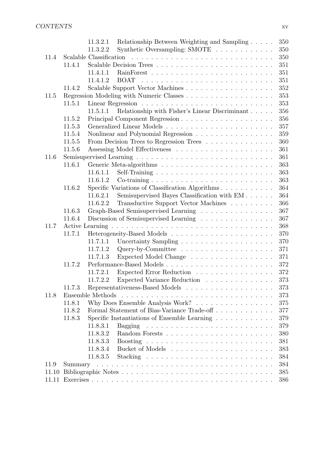|       |        | 11.3.2.1<br>Relationship Between Weighting and Sampling<br>350                                  |
|-------|--------|-------------------------------------------------------------------------------------------------|
|       |        | Synthetic Oversampling: SMOTE<br>11.3.2.2<br>350                                                |
| 11.4  |        | 350                                                                                             |
|       | 11.4.1 | 351                                                                                             |
|       |        | 351<br>11.4.1.1                                                                                 |
|       |        | 11.4.1.2<br>351                                                                                 |
|       | 11.4.2 | 352                                                                                             |
| 11.5  |        | 353                                                                                             |
|       | 11.5.1 | 353                                                                                             |
|       |        | 11.5.1.1<br>Relationship with Fisher's Linear Discriminant<br>356                               |
|       | 11.5.2 | 356                                                                                             |
|       | 11.5.3 | 357                                                                                             |
|       | 11.5.4 | Nonlinear and Polynomial Regression<br>$359\,$                                                  |
|       | 11.5.5 | From Decision Trees to Regression Trees<br>360                                                  |
|       | 11.5.6 | 361                                                                                             |
| 11.6  |        | 361                                                                                             |
|       | 11.6.1 | 363                                                                                             |
|       |        | 11.6.1.1<br>363                                                                                 |
|       |        | 11.6.1.2<br>363                                                                                 |
|       | 11.6.2 | Specific Variations of Classification Algorithms<br>364                                         |
|       |        | Semisupervised Bayes Classification with EM<br>11.6.2.1<br>364                                  |
|       |        | 11.6.2.2<br>Transductive Support Vector Machines<br>366                                         |
|       | 11.6.3 | Graph-Based Semisupervised Learning<br>367                                                      |
|       | 11.6.4 | Discussion of Semisupervised Learning<br>367                                                    |
| 11.7  |        | 368                                                                                             |
|       | 11.7.1 | 370                                                                                             |
|       |        | 370<br>11.7.1.1                                                                                 |
|       |        | 11.7.1.2<br>Query-by-Committee $\dots \dots \dots \dots \dots \dots \dots$<br>371               |
|       |        | 371<br>11.7.1.3<br>Expected Model Change                                                        |
|       | 11.7.2 | $372\,$                                                                                         |
|       |        | $372\,$<br>11.7.2.1<br>Expected Error Reduction                                                 |
|       |        | 11.7.2.2<br>373<br>Expected Variance Reduction                                                  |
|       | 11.7.3 | 373                                                                                             |
| 11.8  |        | 373                                                                                             |
|       | 11.8.1 | Why Does Ensemble Analysis Work? $\ldots \ldots \ldots \ldots \ldots$<br>$375\,$                |
|       | 11.8.2 | 377                                                                                             |
|       | 11.8.3 | Specific Instantiations of Ensemble Learning $\ldots \ldots \ldots \ldots$<br>379               |
|       |        | 379<br>11.8.3.1 Bagging $\ldots \ldots \ldots \ldots \ldots \ldots \ldots \ldots \ldots \ldots$ |
|       |        | 11.8.3.2<br>380                                                                                 |
|       |        | 11.8.3.3<br>381                                                                                 |
|       |        | 11.8.3.4<br>383                                                                                 |
|       |        | 11.8.3.5<br>384                                                                                 |
| 11.9  |        | 384                                                                                             |
| 11.10 |        | 385                                                                                             |
|       |        | 386                                                                                             |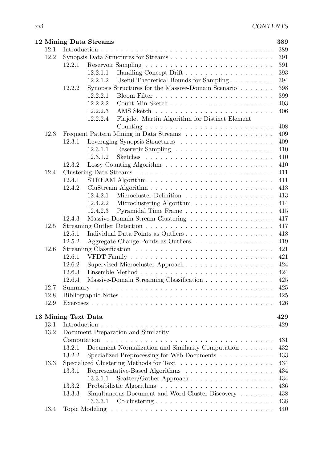|      |                     | 12 Mining Data Streams                                                              |  | 389 |
|------|---------------------|-------------------------------------------------------------------------------------|--|-----|
| 12.1 |                     |                                                                                     |  | 389 |
| 12.2 |                     |                                                                                     |  | 391 |
|      | 12.2.1              |                                                                                     |  | 391 |
|      |                     | 12.2.1.1                                                                            |  | 393 |
|      |                     | 12.2.1.2<br>Useful Theoretical Bounds for Sampling                                  |  | 394 |
|      | 12.2.2              | Synopsis Structures for the Massive-Domain Scenario                                 |  | 398 |
|      |                     | 12.2.2.1                                                                            |  | 399 |
|      |                     | 12.2.2.2                                                                            |  | 403 |
|      |                     | 12.2.2.3                                                                            |  | 406 |
|      |                     | Flajolet-Martin Algorithm for Distinct Element<br>12.2.2.4                          |  |     |
|      |                     |                                                                                     |  | 408 |
| 12.3 |                     |                                                                                     |  | 409 |
|      | 12.3.1              |                                                                                     |  | 409 |
|      |                     | 12.3.1.1                                                                            |  | 410 |
|      |                     | 12.3.1.2                                                                            |  | 410 |
|      | 12.3.2              |                                                                                     |  | 410 |
| 12.4 |                     |                                                                                     |  | 411 |
|      | 12.4.1              |                                                                                     |  | 411 |
|      | 12.4.2              |                                                                                     |  | 413 |
|      |                     | 12.4.2.1                                                                            |  | 413 |
|      |                     | Microclustering Algorithm<br>12.4.2.2                                               |  | 414 |
|      |                     | 12.4.2.3                                                                            |  | 415 |
|      | 12.4.3              | Massive-Domain Stream Clustering                                                    |  | 417 |
| 12.5 |                     |                                                                                     |  | 417 |
|      | 12.5.1              |                                                                                     |  | 418 |
|      | 12.5.2              | Aggregate Change Points as Outliers                                                 |  | 419 |
| 12.6 |                     |                                                                                     |  | 421 |
|      | 12.6.1              |                                                                                     |  | 421 |
|      | 12.6.2              |                                                                                     |  | 424 |
|      | 12.6.3              |                                                                                     |  | 424 |
|      | 12.6.4              | Massive-Domain Streaming Classification                                             |  | 425 |
| 12.7 |                     |                                                                                     |  | 425 |
| 12.8 |                     |                                                                                     |  | 425 |
| 12.9 |                     |                                                                                     |  | 426 |
|      |                     |                                                                                     |  |     |
|      | 13 Mining Text Data |                                                                                     |  | 429 |
| 13.1 |                     |                                                                                     |  | 429 |
| 13.2 |                     | Document Preparation and Similarity                                                 |  |     |
|      | Computation         |                                                                                     |  | 431 |
|      | 13.2.1              | Document Normalization and Similarity Computation                                   |  | 432 |
|      | 13.2.2              | Specialized Preprocessing for Web Documents                                         |  | 433 |
| 13.3 |                     |                                                                                     |  | 434 |
|      | 13.3.1              |                                                                                     |  | 434 |
|      |                     | $Scatter/Gather Approach \ldots \ldots \ldots \ldots \ldots \ldots$<br>13.3.1.1     |  | 434 |
|      | 13.3.2              |                                                                                     |  | 436 |
|      | 13.3.3              | Simultaneous Document and Word Cluster Discovery                                    |  | 438 |
|      |                     | 13.3.3.1<br>Co-clustering $\ldots \ldots \ldots \ldots \ldots \ldots \ldots \ldots$ |  | 438 |
| 13.4 |                     |                                                                                     |  | 440 |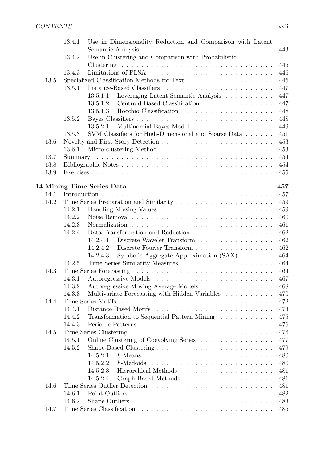|      | 13.4.1 | Use in Dimensionality Reduction and Comparison with Latent       |     |
|------|--------|------------------------------------------------------------------|-----|
|      |        |                                                                  | 443 |
|      | 13.4.2 | Use in Clustering and Comparison with Probabilistic              |     |
|      |        |                                                                  | 445 |
|      | 13.4.3 |                                                                  | 446 |
| 13.5 |        |                                                                  | 446 |
|      | 13.5.1 | Instance-Based Classifiers                                       | 447 |
|      |        | Leveraging Latent Semantic Analysis<br>13.5.1.1                  | 447 |
|      |        | Centroid-Based Classification<br>13.5.1.2                        | 447 |
|      |        | 13.5.1.3                                                         | 448 |
|      | 13.5.2 |                                                                  | 448 |
|      |        | Multinomial Bayes Model<br>13.5.2.1                              | 449 |
|      | 13.5.3 | SVM Classifiers for High-Dimensional and Sparse Data             | 451 |
| 13.6 |        |                                                                  | 453 |
|      | 13.6.1 |                                                                  | 453 |
| 13.7 |        |                                                                  | 454 |
| 13.8 |        |                                                                  | 454 |
| 13.9 |        |                                                                  | 455 |
|      |        | 14 Mining Time Series Data                                       | 457 |
| 14.1 |        |                                                                  | 457 |
| 14.2 |        |                                                                  | 459 |
|      | 14.2.1 |                                                                  | 459 |
|      | 14.2.2 |                                                                  | 460 |
|      | 14.2.3 |                                                                  | 461 |
|      | 14.2.4 | Data Transformation and Reduction                                | 462 |
|      |        | Discrete Wavelet Transform<br>14.2.4.1                           | 462 |
|      |        | 14.2.4.2                                                         | 462 |
|      |        | Symbolic Aggregate Approximation $(SAX) \dots \dots$<br>14.2.4.3 | 464 |
|      | 14.2.5 |                                                                  | 464 |
| 14.3 |        |                                                                  | 464 |
|      | 14.3.1 |                                                                  | 467 |
|      | 14.3.2 | Autoregressive Moving Average Models                             | 468 |
|      | 14.3.3 | Multivariate Forecasting with Hidden Variables                   | 470 |
| 14.4 |        |                                                                  | 472 |
|      | 14.4.1 |                                                                  | 473 |
|      | 14.4.2 | Transformation to Sequential Pattern Mining                      | 475 |
|      | 14.4.3 |                                                                  | 476 |
| 14.5 |        |                                                                  | 476 |
|      | 14.5.1 | Online Clustering of Coevolving Series                           | 477 |
|      | 14.5.2 |                                                                  | 479 |
|      |        | $k$ -Means<br>14.5.2.1                                           | 480 |
|      |        | 14.5.2.2                                                         | 480 |
|      |        | 14.5.2.3                                                         | 481 |
|      |        | Graph-Based Methods<br>14.5.2.4                                  | 481 |
| 14.6 |        |                                                                  | 481 |
|      | 14.6.1 |                                                                  | 482 |
|      | 14.6.2 |                                                                  | 483 |
| 14.7 |        |                                                                  | 485 |
|      |        |                                                                  |     |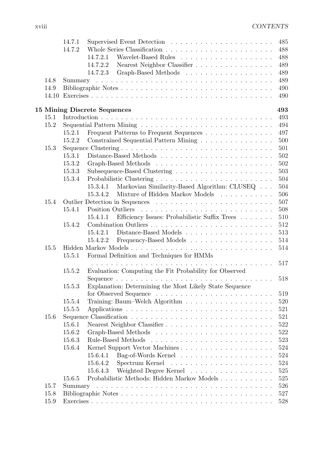|      | 14.7.1  |                                                                                      |  |  | 485 |
|------|---------|--------------------------------------------------------------------------------------|--|--|-----|
|      | 14.7.2  |                                                                                      |  |  | 488 |
|      |         | 14.7.2.1                                                                             |  |  | 488 |
|      |         | Nearest Neighbor Classifier<br>14.7.2.2                                              |  |  | 489 |
|      |         | Graph-Based Methods<br>14.7.2.3                                                      |  |  | 489 |
| 14.8 | Summary |                                                                                      |  |  | 489 |
| 14.9 |         |                                                                                      |  |  | 490 |
|      |         |                                                                                      |  |  | 490 |
|      |         |                                                                                      |  |  |     |
|      |         | <b>15 Mining Discrete Sequences</b>                                                  |  |  | 493 |
| 15.1 |         |                                                                                      |  |  | 493 |
| 15.2 |         |                                                                                      |  |  | 494 |
|      | 15.2.1  | Frequent Patterns to Frequent Sequences                                              |  |  | 497 |
|      | 15.2.2  | Constrained Sequential Pattern Mining                                                |  |  | 500 |
| 15.3 |         | Sequence Clustering                                                                  |  |  | 501 |
|      | 15.3.1  |                                                                                      |  |  | 502 |
|      | 15.3.2  |                                                                                      |  |  | 502 |
|      |         |                                                                                      |  |  |     |
|      | 15.3.3  |                                                                                      |  |  | 503 |
|      | 15.3.4  |                                                                                      |  |  | 504 |
|      |         | Markovian Similarity-Based Algorithm: $\textsc{CLUSEQ}\;\;.\;\;.\;\;.\;$<br>15.3.4.1 |  |  | 504 |
|      |         | 15.3.4.2<br>Mixture of Hidden Markov Models                                          |  |  | 506 |
| 15.4 |         |                                                                                      |  |  | 507 |
|      | 15.4.1  |                                                                                      |  |  | 508 |
|      |         | Efficiency Issues: Probabilistic Suffix Trees $\ldots \ldots$<br>15.4.1.1            |  |  | 510 |
|      | 15.4.2  |                                                                                      |  |  | 512 |
|      |         | 15.4.2.1                                                                             |  |  | 513 |
|      |         | Frequency-Based Models<br>15.4.2.2                                                   |  |  | 514 |
| 15.5 |         |                                                                                      |  |  | 514 |
|      | 15.5.1  | Formal Definition and Techniques for HMMs                                            |  |  |     |
|      |         |                                                                                      |  |  | 517 |
|      | 15.5.2  | Evaluation: Computing the Fit Probability for Observed                               |  |  |     |
|      |         |                                                                                      |  |  | 518 |
|      | 15.5.3  | Explanation: Determining the Most Likely State Sequence                              |  |  |     |
|      |         |                                                                                      |  |  | 519 |
|      | 15.5.4  |                                                                                      |  |  | 520 |
|      | 15.5.5  |                                                                                      |  |  | 521 |
| 15.6 |         |                                                                                      |  |  | 521 |
|      | 15.6.1  |                                                                                      |  |  | 522 |
|      | 15.6.2  |                                                                                      |  |  | 522 |
|      | 15.6.3  | Rule-Based Methods                                                                   |  |  | 523 |
|      | 15.6.4  | Kernel Support Vector Machines                                                       |  |  | 524 |
|      |         | 15.6.4.1                                                                             |  |  | 524 |
|      |         | 15.6.4.2                                                                             |  |  | 524 |
|      |         | Weighted Degree Kernel<br>15.6.4.3                                                   |  |  | 525 |
|      | 15.6.5  | Probabilistic Methods: Hidden Markov Models                                          |  |  | 525 |
| 15.7 | Summary |                                                                                      |  |  | 526 |
| 15.8 |         |                                                                                      |  |  | 527 |
| 15.9 |         |                                                                                      |  |  | 528 |
|      |         |                                                                                      |  |  |     |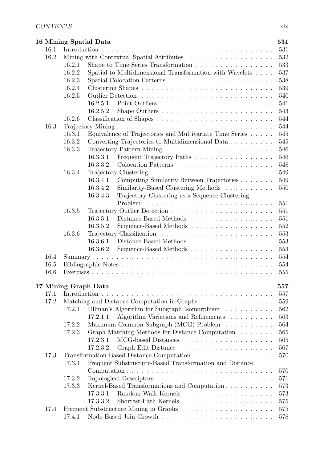|      |        | 16 Mining Spatial Data                                              | 531 |
|------|--------|---------------------------------------------------------------------|-----|
| 16.1 |        |                                                                     | 531 |
| 16.2 |        |                                                                     | 532 |
|      | 16.2.1 | Shape to Time Series Transformation                                 | 533 |
|      | 16.2.2 | Spatial to Multidimensional Transformation with Wavelets $\ldots$ . | 537 |
|      | 16.2.3 |                                                                     | 538 |
|      | 16.2.4 |                                                                     | 539 |
|      | 16.2.5 |                                                                     | 540 |
|      |        | 16.2.5.1                                                            | 541 |
|      |        | 16.2.5.2                                                            | 543 |
|      | 16.2.6 |                                                                     | 544 |
| 16.3 |        |                                                                     | 544 |
|      | 16.3.1 | Equivalence of Trajectories and Multivariate Time Series            | 545 |
|      | 16.3.2 | Converting Trajectories to Multidimensional Data                    | 545 |
|      | 16.3.3 |                                                                     | 546 |
|      |        | Frequent Trajectory Paths<br>16.3.3.1                               | 546 |
|      |        | 16.3.3.2                                                            | 548 |
|      | 16.3.4 |                                                                     | 549 |
|      |        | 16.3.4.1<br>Computing Similarity Between Trajectories               | 549 |
|      |        | Similarity-Based Clustering Methods<br>16.3.4.2                     | 550 |
|      |        | Trajectory Clustering as a Sequence Clustering<br>16.3.4.3          |     |
|      |        |                                                                     | 551 |
|      | 16.3.5 |                                                                     | 551 |
|      |        | 16.3.5.1<br>Distance-Based Methods                                  | 551 |
|      |        | 16.3.5.2<br>Sequence-Based Methods                                  | 552 |
|      | 16.3.6 |                                                                     | 553 |
|      |        | 16.3.6.1<br>Distance-Based Methods                                  | 553 |
|      |        | 16.3.6.2<br>Sequence-Based Methods                                  | 553 |
| 16.4 |        |                                                                     | 554 |
| 16.5 |        | Bibliographic Notes                                                 | 554 |
| 16.6 |        |                                                                     | 555 |
|      |        |                                                                     |     |
|      |        | 17 Mining Graph Data                                                | 557 |
| 17.1 |        |                                                                     | 557 |
| 17.2 |        | Matching and Distance Computation in Graphs                         | 559 |
|      | 17.2.1 | Ullman's Algorithm for Subgraph Isomorphism                         | 562 |
|      |        | Algorithm Variations and Refinements<br>17.2.1.1                    | 563 |
|      | 17.2.2 | Maximum Common Subgraph (MCG) Problem                               | 564 |
|      | 17.2.3 | Graph Matching Methods for Distance Computation                     | 565 |
|      |        | 17.2.3.1                                                            | 565 |
|      |        | 17.2.3.2                                                            | 567 |
| 17.3 |        | Transformation-Based Distance Computation                           | 570 |
|      | 17.3.1 | Frequent Substructure-Based Transformation and Distance             |     |
|      |        |                                                                     | 570 |
|      | 17.3.2 |                                                                     | 571 |
|      | 17.3.3 | Kernel-Based Transformations and Computation                        | 573 |
|      |        | Random Walk Kernels<br>17.3.3.1                                     | 573 |
|      |        | 17.3.3.2                                                            | 575 |
| 17.4 |        |                                                                     | 575 |
|      | 17.4.1 |                                                                     | 578 |
|      |        |                                                                     |     |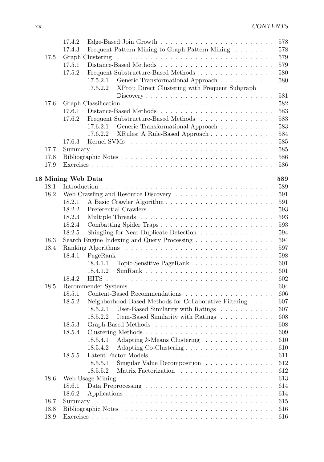|      | 17.4.2             | 578                                                                                        |
|------|--------------------|--------------------------------------------------------------------------------------------|
|      | 17.4.3             | Frequent Pattern Mining to Graph Pattern Mining<br>578                                     |
| 17.5 |                    | 579                                                                                        |
|      | 17.5.1             | 579                                                                                        |
|      | 17.5.2             | Frequent Substructure-Based Methods<br>580                                                 |
|      |                    | Generic Transformational Approach<br>580<br>17.5.2.1                                       |
|      |                    | XProj: Direct Clustering with Frequent Subgraph<br>17.5.2.2                                |
|      |                    | $Discovery \ldots \ldots \ldots \ldots \ldots \ldots \ldots$<br>581                        |
| 17.6 |                    | 582<br>Graph Classification                                                                |
|      | 17.6.1             | 583                                                                                        |
|      | 17.6.2             | Frequent Substructure-Based Methods<br>583                                                 |
|      |                    | Generic Transformational Approach<br>583<br>17.6.2.1                                       |
|      |                    | XRules: A Rule-Based Approach<br>584<br>17.6.2.2                                           |
|      | 17.6.3             | 585                                                                                        |
| 17.7 |                    | 585                                                                                        |
| 17.8 |                    | 586                                                                                        |
| 17.9 |                    | 586                                                                                        |
|      |                    |                                                                                            |
|      | 18 Mining Web Data | 589                                                                                        |
| 18.1 |                    | 589                                                                                        |
| 18.2 |                    | Web Crawling and Resource Discovery<br>591                                                 |
|      | 18.2.1             | 591                                                                                        |
|      | 18.2.2             | Preferential Crawlers $\dots \dots \dots \dots \dots \dots \dots \dots \dots \dots$<br>593 |
|      | 18.2.3             | 593                                                                                        |
|      | 18.2.4             | 593                                                                                        |
|      | 18.2.5             | Shingling for Near Duplicate Detection $\ldots \ldots \ldots \ldots \ldots$<br>594         |
| 18.3 |                    | Search Engine Indexing and Query Processing<br>594                                         |
| 18.4 |                    | 597                                                                                        |
|      | 18.4.1             | 598                                                                                        |
|      |                    | Topic-Sensitive PageRank<br>601<br>18.4.1.1                                                |
|      |                    | 601<br>18.4.1.2                                                                            |
|      | 18.4.2             | 602                                                                                        |
| 18.5 |                    | 604                                                                                        |
|      | 18.5.1             | 606                                                                                        |
|      | 18.5.2             | Neighborhood-Based Methods for Collaborative Filtering<br>607                              |
|      |                    | User-Based Similarity with Ratings<br>607<br>18.5.2.1                                      |
|      |                    | 18.5.2.2<br>Item-Based Similarity with Ratings<br>608                                      |
|      | 18.5.3             | 608                                                                                        |
|      | 18.5.4             | 609                                                                                        |
|      |                    | Adapting $k$ -Means Clustering $\ldots \ldots \ldots \ldots$<br>610<br>18.5.4.1            |
|      |                    | 18.5.4.2<br>610                                                                            |
|      | 18.5.5             | 611                                                                                        |
|      |                    | Singular Value Decomposition<br>18.5.5.1<br>612                                            |
|      |                    | $18.5.5.2\,$<br>612                                                                        |
| 18.6 |                    | Web Usage Mining<br>613                                                                    |
|      | 18.6.1             | 614                                                                                        |
|      | 18.6.2             | 614                                                                                        |
| 18.7 |                    | 615                                                                                        |
| 18.8 |                    | 616                                                                                        |
| 18.9 |                    | 616                                                                                        |
|      |                    |                                                                                            |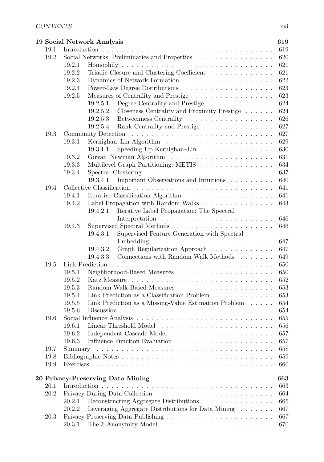|      |        | <b>19 Social Network Analysis</b>                                                  | 619 |
|------|--------|------------------------------------------------------------------------------------|-----|
| 19.1 |        |                                                                                    | 619 |
| 19.2 |        |                                                                                    | 620 |
|      | 19.2.1 |                                                                                    | 621 |
|      | 19.2.2 | Triadic Closure and Clustering Coefficient                                         | 621 |
|      | 19.2.3 |                                                                                    | 622 |
|      | 19.2.4 |                                                                                    | 623 |
|      | 19.2.5 | Measures of Centrality and Prestige                                                | 623 |
|      |        | 19.2.5.1<br>Degree Centrality and Prestige                                         | 624 |
|      |        | 19.2.5.2<br>Closeness Centrality and Proximity Prestige                            | 624 |
|      |        | 19.2.5.3                                                                           | 626 |
|      |        | 19.2.5.4<br>Rank Centrality and Prestige                                           | 627 |
| 19.3 |        |                                                                                    | 627 |
|      | 19.3.1 |                                                                                    | 629 |
|      |        | Speeding Up Kernighan–Lin $\ldots \ldots \ldots \ldots \ldots$<br>19.3.1.1         | 630 |
|      | 19.3.2 |                                                                                    | 631 |
|      | 19.3.3 | Multilevel Graph Partitioning: METIS                                               | 634 |
|      | 19.3.4 |                                                                                    | 637 |
|      |        | 19.3.4.1<br>Important Observations and Intuitions $\ldots \ldots \ldots$           | 640 |
| 19.4 |        |                                                                                    | 641 |
|      | 19.4.1 |                                                                                    | 641 |
|      | 19.4.2 |                                                                                    | 643 |
|      |        | 19.4.2.1<br>Iterative Label Propagation: The Spectral                              |     |
|      |        |                                                                                    | 646 |
|      | 19.4.3 |                                                                                    | 646 |
|      |        | 19.4.3.1<br>Supervised Feature Generation with Spectral                            |     |
|      |        |                                                                                    | 647 |
|      |        | 19.4.3.2<br>Graph Regularization Approach $\ldots \ldots \ldots \ldots$            | 647 |
|      |        | Connections with Random Walk Methods $\ldots \ldots$<br>19.4.3.3                   | 649 |
| 19.5 |        |                                                                                    | 650 |
|      | 19.5.1 |                                                                                    | 650 |
|      | 19.5.2 |                                                                                    | 652 |
|      | 19.5.3 |                                                                                    | 653 |
|      | 19.5.4 | Link Prediction as a Classification Problem $\ldots \ldots \ldots \ldots$          | 653 |
|      | 19.5.5 | Link Prediction as a Missing-Value Estimation Problem $\ldots \ldots$              | 654 |
|      | 19.5.6 |                                                                                    | 654 |
| 19.6 |        |                                                                                    | 655 |
|      |        | 19.6.1 Linear Threshold Model                                                      | 656 |
|      | 19.6.2 |                                                                                    | 657 |
|      | 19.6.3 |                                                                                    | 657 |
| 19.7 |        |                                                                                    | 658 |
| 19.8 |        |                                                                                    | 659 |
| 19.9 |        |                                                                                    | 660 |
|      |        |                                                                                    |     |
|      |        | 20 Privacy-Preserving Data Mining                                                  | 663 |
| 20.1 |        |                                                                                    | 663 |
| 20.2 |        |                                                                                    | 664 |
|      | 20.2.1 | Reconstructing Aggregate Distributions                                             | 665 |
|      | 20.2.2 | Leveraging Aggregate Distributions for Data Mining                                 | 667 |
| 20.3 |        |                                                                                    | 667 |
|      | 20.3.1 | The $k$ -Anonymity Model $\ldots \ldots \ldots \ldots \ldots \ldots \ldots \ldots$ | 670 |
|      |        |                                                                                    |     |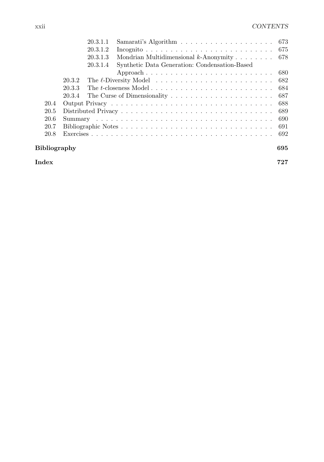|                     |        | 20.3.1.1 |                                               | 673  |
|---------------------|--------|----------|-----------------------------------------------|------|
|                     |        | 20.3.1.2 | Incognito                                     | 675  |
|                     |        | 20.3.1.3 | Mondrian Multidimensional $k$ -Anonymity      | 678  |
|                     |        | 20.3.1.4 | Synthetic Data Generation: Condensation-Based |      |
|                     |        |          |                                               | -680 |
|                     | 20.3.2 |          |                                               | 682  |
|                     | 20.3.3 |          |                                               | 684  |
|                     | 20.3.4 |          |                                               | 687  |
| 20.4                |        |          |                                               | 688  |
| 20.5                |        |          |                                               | 689  |
| 20.6                |        |          |                                               | -690 |
| 20.7                |        |          |                                               | 691  |
| 20.8                |        |          |                                               | 692  |
| <b>Bibliography</b> |        |          |                                               | 695  |

| <b>Index</b> | 727 |
|--------------|-----|
|              |     |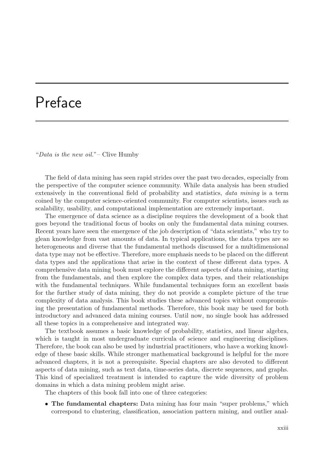### Preface

"Data is the new oil."– Clive Humby

The field of data mining has seen rapid strides over the past two decades, especially from the perspective of the computer science community. While data analysis has been studied extensively in the conventional field of probability and statistics, data mining is a term coined by the computer science-oriented community. For computer scientists, issues such as scalability, usability, and computational implementation are extremely important.

The emergence of data science as a discipline requires the development of a book that goes beyond the traditional focus of books on only the fundamental data mining courses. Recent years have seen the emergence of the job description of "data scientists," who try to glean knowledge from vast amounts of data. In typical applications, the data types are so heterogeneous and diverse that the fundamental methods discussed for a multidimensional data type may not be effective. Therefore, more emphasis needs to be placed on the different data types and the applications that arise in the context of these different data types. A comprehensive data mining book must explore the different aspects of data mining, starting from the fundamentals, and then explore the complex data types, and their relationships with the fundamental techniques. While fundamental techniques form an excellent basis for the further study of data mining, they do not provide a complete picture of the true complexity of data analysis. This book studies these advanced topics without compromising the presentation of fundamental methods. Therefore, this book may be used for both introductory and advanced data mining courses. Until now, no single book has addressed all these topics in a comprehensive and integrated way.

The textbook assumes a basic knowledge of probability, statistics, and linear algebra, which is taught in most undergraduate curricula of science and engineering disciplines. Therefore, the book can also be used by industrial practitioners, who have a working knowledge of these basic skills. While stronger mathematical background is helpful for the more advanced chapters, it is not a prerequisite. Special chapters are also devoted to different aspects of data mining, such as text data, time-series data, discrete sequences, and graphs. This kind of specialized treatment is intended to capture the wide diversity of problem domains in which a data mining problem might arise.

The chapters of this book fall into one of three categories:

• **The fundamental chapters:** Data mining has four main "super problems," which correspond to clustering, classification, association pattern mining, and outlier anal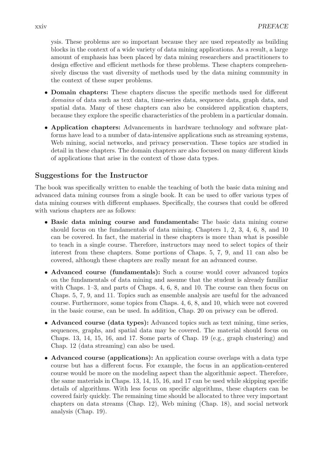ysis. These problems are so important because they are used repeatedly as building blocks in the context of a wide variety of data mining applications. As a result, a large amount of emphasis has been placed by data mining researchers and practitioners to design effective and efficient methods for these problems. These chapters comprehensively discuss the vast diversity of methods used by the data mining community in the context of these super problems.

- **Domain chapters:** These chapters discuss the specific methods used for different domains of data such as text data, time-series data, sequence data, graph data, and spatial data. Many of these chapters can also be considered application chapters, because they explore the specific characteristics of the problem in a particular domain.
- **Application chapters:** Advancements in hardware technology and software platforms have lead to a number of data-intensive applications such as streaming systems, Web mining, social networks, and privacy preservation. These topics are studied in detail in these chapters. The domain chapters are also focused on many different kinds of applications that arise in the context of those data types.

#### **Suggestions for the Instructor**

The book was specifically written to enable the teaching of both the basic data mining and advanced data mining courses from a single book. It can be used to offer various types of data mining courses with different emphases. Specifically, the courses that could be offered with various chapters are as follows:

- **Basic data mining course and fundamentals:** The basic data mining course should focus on the fundamentals of data mining. Chapters 1, 2, 3, 4, 6, 8, and 10 can be covered. In fact, the material in these chapters is more than what is possible to teach in a single course. Therefore, instructors may need to select topics of their interest from these chapters. Some portions of Chaps. 5, 7, 9, and 11 can also be covered, although these chapters are really meant for an advanced course.
- **Advanced course (fundamentals):** Such a course would cover advanced topics on the fundamentals of data mining and assume that the student is already familiar with Chaps. 1–3, and parts of Chaps. 4, 6, 8, and 10. The course can then focus on Chaps. 5, 7, 9, and 11. Topics such as ensemble analysis are useful for the advanced course. Furthermore, some topics from Chaps. 4, 6, 8, and 10, which were not covered in the basic course, can be used. In addition, Chap. 20 on privacy can be offered.
- **Advanced course (data types):** Advanced topics such as text mining, time series, sequences, graphs, and spatial data may be covered. The material should focus on Chaps. 13, 14, 15, 16, and 17. Some parts of Chap. 19 (e.g., graph clustering) and Chap. 12 (data streaming) can also be used.
- **Advanced course (applications):** An application course overlaps with a data type course but has a different focus. For example, the focus in an application-centered course would be more on the modeling aspect than the algorithmic aspect. Therefore, the same materials in Chaps. 13, 14, 15, 16, and 17 can be used while skipping specific details of algorithms. With less focus on specific algorithms, these chapters can be covered fairly quickly. The remaining time should be allocated to three very important chapters on data streams (Chap. 12), Web mining (Chap. 18), and social network analysis (Chap. 19).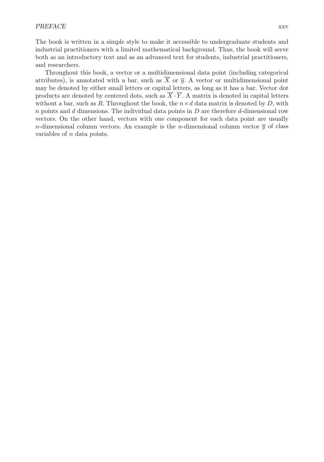The book is written in a simple style to make it accessible to undergraduate students and industrial practitioners with a limited mathematical background. Thus, the book will serve both as an introductory text and as an advanced text for students, industrial practitioners, and researchers.

Throughout this book, a vector or a multidimensional data point (including categorical attributes), is annotated with a bar, such as  $\overline{X}$  or  $\overline{y}$ . A vector or multidimensional point may be denoted by either small letters or capital letters, as long as it has a bar. Vector dot products are denoted by centered dots, such as  $\overline{X} \cdot \overline{Y}$ . A matrix is denoted in capital letters without a bar, such as R. Throughout the book, the  $n \times d$  data matrix is denoted by D, with  $n$  points and  $d$  dimensions. The individual data points in  $D$  are therefore  $d$ -dimensional row vectors. On the other hand, vectors with one component for each data point are usually n-dimensional column vectors. An example is the n-dimensional column vector  $\overline{y}$  of class variables of n data points.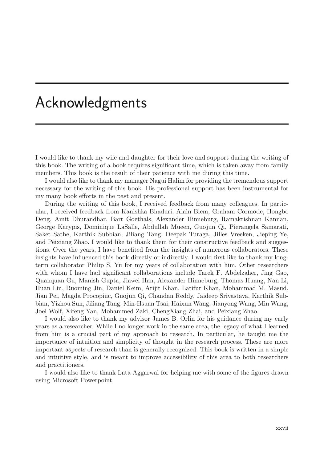## Acknowledgments

I would like to thank my wife and daughter for their love and support during the writing of this book. The writing of a book requires significant time, which is taken away from family members. This book is the result of their patience with me during this time.

I would also like to thank my manager Nagui Halim for providing the tremendous support necessary for the writing of this book. His professional support has been instrumental for my many book efforts in the past and present.

During the writing of this book, I received feedback from many colleagues. In particular, I received feedback from Kanishka Bhaduri, Alain Biem, Graham Cormode, Hongbo Deng, Amit Dhurandhar, Bart Goethals, Alexander Hinneburg, Ramakrishnan Kannan, George Karypis, Dominique LaSalle, Abdullah Mueen, Guojun Qi, Pierangela Samarati, Saket Sathe, Karthik Subbian, Jiliang Tang, Deepak Turaga, Jilles Vreeken, Jieping Ye, and Peixiang Zhao. I would like to thank them for their constructive feedback and suggestions. Over the years, I have benefited from the insights of numerous collaborators. These insights have influenced this book directly or indirectly. I would first like to thank my longterm collaborator Philip S. Yu for my years of collaboration with him. Other researchers with whom I have had significant collaborations include Tarek F. Abdelzaher, Jing Gao, Quanquan Gu, Manish Gupta, Jiawei Han, Alexander Hinneburg, Thomas Huang, Nan Li, Huan Liu, Ruoming Jin, Daniel Keim, Arijit Khan, Latifur Khan, Mohammad M. Masud, Jian Pei, Magda Procopiuc, Guojun Qi, Chandan Reddy, Jaideep Srivastava, Karthik Subbian, Yizhou Sun, Jiliang Tang, Min-Hsuan Tsai, Haixun Wang, Jianyong Wang, Min Wang, Joel Wolf, Xifeng Yan, Mohammed Zaki, ChengXiang Zhai, and Peixiang Zhao.

I would also like to thank my advisor James B. Orlin for his guidance during my early years as a researcher. While I no longer work in the same area, the legacy of what I learned from him is a crucial part of my approach to research. In particular, he taught me the importance of intuition and simplicity of thought in the research process. These are more important aspects of research than is generally recognized. This book is written in a simple and intuitive style, and is meant to improve accessibility of this area to both researchers and practitioners.

I would also like to thank Lata Aggarwal for helping me with some of the figures drawn using Microsoft Powerpoint.